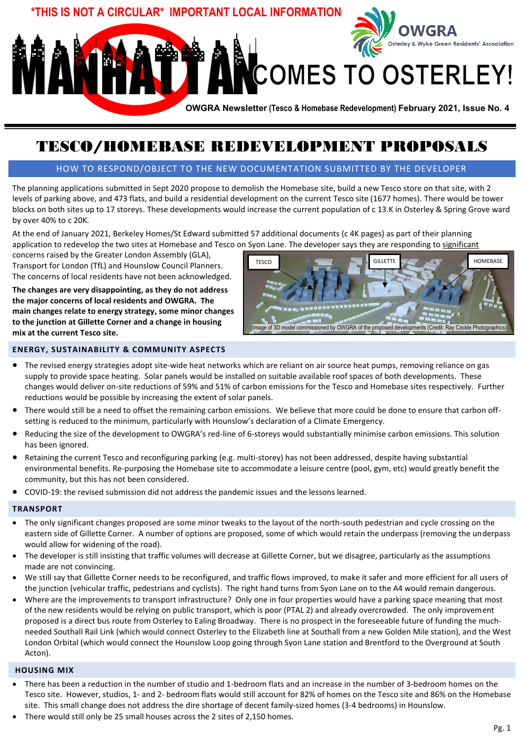

# TESCO/HOMEBASE REDEVELOPMENT PROPOSALS

### HOW TO RESPOND/OBJECT TO THE NEW DOCUMENTATION SUBMITTED BY THE DEVELOPER

The planning applications submitted in Sept 2020 propose to demolish the Homebase site, build a new Tesco store on that site, with 2 levels of parking above, and 473 flats, and build a residential development on the current Tesco site (1677 homes). There would be tower blocks on both sites up to 17 storeys. These developments would increase the current population of c 13.K in Osterley & Spring Grove ward by over 40% to c 20K.

At the end of January 2021, Berkeley Homes/St Edward submitted 57 additional documents (c 4K pages) as part of their planning application to redevelop the two sites at Homebase and Tesco on Syon Lane. The developer says they are responding to significant

concerns raised by the Greater London Assembly (GLA), Transport for London (TfL) and Hounslow Council Planners. The concerns of local residents have not been acknowledged.

**The changes are very disappointing, as they do not address the major concerns of local residents and OWGRA. The main changes relate to energy strategy, some minor changes to the junction at Gillette Corner and a change in housing mix at the current Tesco site.** 



#### **ENERGY, SUSTAINABILITY & COMMUNITY ASPECTS**

- The revised energy strategies adopt site-wide heat networks which are reliant on air source heat pumps, removing reliance on gas supply to provide space heating. Solar panels would be installed on suitable available roof spaces of both developments. These changes would deliver on-site reductions of 59% and 51% of carbon emissions for the Tesco and Homebase sites respectively. Further reductions would be possible by increasing the extent of solar panels.
- There would still be a need to offset the remaining carbon emissions. We believe that more could be done to ensure that carbon offsetting is reduced to the minimum, particularly with Hounslow's declaration of a Climate Emergency.
- Reducing the size of the development to OWGRA's red-line of 6-storeys would substantially minimise carbon emissions. This solution has been ignored.
- Retaining the current Tesco and reconfiguring parking (e.g. multi-storey) has not been addressed, despite having substantial environmental benefits. Re-purposing the Homebase site to accommodate a leisure centre (pool, gym, etc) would greatly benefit the community, but this has not been considered.
- COVID-19: the revised submission did not address the pandemic issues and the lessons learned.

#### **TRANSPORT**

- The only significant changes proposed are some minor tweaks to the layout of the north-south pedestrian and cycle crossing on the eastern side of Gillette Corner. A number of options are proposed, some of which would retain the underpass (removing the underpass would allow for widening of the road).
- The developer is still insisting that traffic volumes will decrease at Gillette Corner, but we disagree, particularly as the assumptions made are not convincing.
- We still say that Gillette Corner needs to be reconfigured, and traffic flows improved, to make it safer and more efficient for all users of the junction (vehicular traffic, pedestrians and cyclists). The right hand turns from Syon Lane on to the A4 would remain dangerous.
- Where are the improvements to transport infrastructure? Only one in four properties would have a parking space meaning that most of the new residents would be relying on public transport, which is poor (PTAL 2) and already overcrowded. The only improvement proposed is a direct bus route from Osterley to Ealing Broadway. There is no prospect in the foreseeable future of funding the muchneeded Southall Rail Link (which would connect Osterley to the Elizabeth line at Southall from a new Golden Mile station), and the West London Orbital (which would connect the Hounslow Loop going through Syon Lane station and Brentford to the Overground at South Acton).

#### **HOUSING MIX**

- There has been a reduction in the number of studio and 1-bedroom flats and an increase in the number of 3-bedroom homes on the Tesco site. However, studios, 1- and 2- bedroom flats would still account for 82% of homes on the Tesco site and 86% on the Homebase site. This small change does not address the dire shortage of decent family-sized homes (3-4 bedrooms) in Hounslow.
- There would still only be 25 small houses across the 2 sites of 2,150 homes.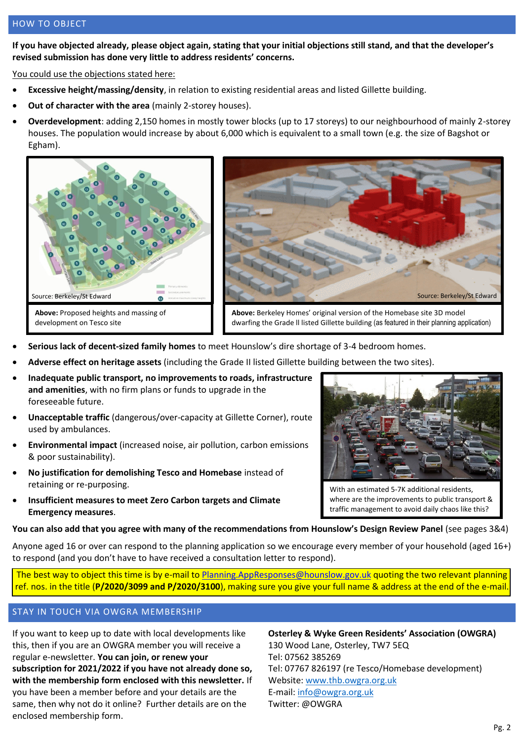**If you have objected already, please object again, stating that your initial objections still stand, and that the developer's revised submission has done very little to address residents' concerns.**

You could use the objections stated here:

- **Excessive height/massing/density**, in relation to existing residential areas and listed Gillette building.
- **Out of character with the area** (mainly 2-storey houses).
- **Overdevelopment**: adding 2,150 homes in mostly tower blocks (up to 17 storeys) to our neighbourhood of mainly 2-storey houses. The population would increase by about 6,000 which is equivalent to a small town (e.g. the size of Bagshot or Egham).





**Above:** Berkeley Homes' original version of the Homebase site 3D model dwarfing the Grade ll listed Gillette building (as featured in their planning application)

- **Serious lack of decent-sized family homes** to meet Hounslow's dire shortage of 3-4 bedroom homes.
- **Adverse effect on heritage assets** (including the Grade II listed Gillette building between the two sites).
- **Inadequate public transport, no improvements to roads, infrastructure and amenities**, with no firm plans or funds to upgrade in the foreseeable future.
- **Unacceptable traffic** (dangerous/over-capacity at Gillette Corner), route used by ambulances.
- **Environmental impact** (increased noise, air pollution, carbon emissions & poor sustainability).
- **No justification for demolishing Tesco and Homebase** instead of retaining or re-purposing.
- **Insufficient measures to meet Zero Carbon targets and Climate Emergency measures**.



With an estimated 5-7K additional residents, where are the improvements to public transport & traffic management to avoid daily chaos like this?

**You can also add that you agree with many of the recommendations from Hounslow's Design Review Panel** (see pages 3&4)

Anyone aged 16 or over can respond to the planning application so we encourage every member of your household (aged 16+) to respond (and you don't have to have received a consultation letter to respond).

The best way to object this time is by e-mail t[o Planning.AppResponses@hounslow.gov.uk](mailto:Planning.AppResponses@hounslow.gov.uk) quoting the two relevant planning ref. nos. in the title (**P/2020/3099 and P/2020/3100**), making sure you give your full name & address at the end of the e-mail.

#### STAY IN TOUCH VIA OWGRA MEMBERSHIP

If you want to keep up to date with local developments like this, then if you are an OWGRA member you will receive a regular e-newsletter. **You can join, or renew your subscription for 2021/2022 if you have not already done so, with the membership form enclosed with this newsletter.** If you have been a member before and your details are the same, then why not do it online? Further details are on the enclosed membership form.

**Osterley & Wyke Green Residents' Association (OWGRA)** 130 Wood Lane, Osterley, TW7 5EQ Tel: 07562 385269 Tel: 07767 826197 (re Tesco/Homebase development) Website: [www.thb.owgra.org.uk](http://www.thb.owgra.org.uk/)  E-mail: [info@owgra.org.uk](mailto:info@owgra.org.uk) Twitter: @OWGRA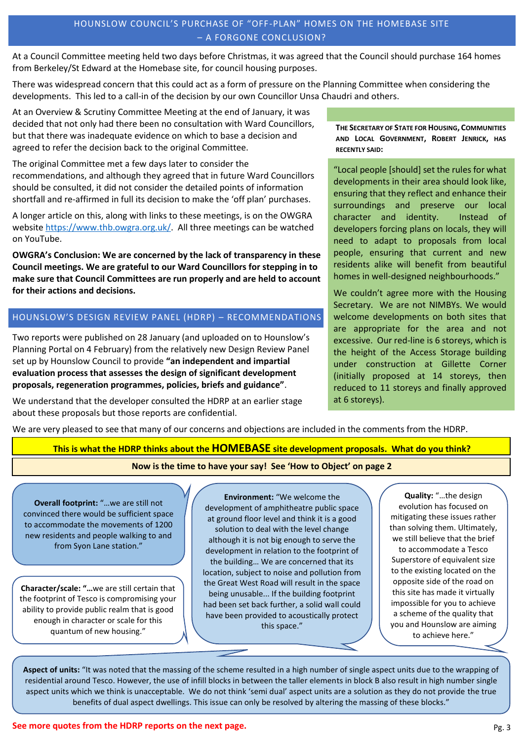## HOUNSLOW COUNCIL'S PURCHASE OF "OFF-PLAN" HOMES ON THE HOMEBASE SITE – A FORGONE CONCLUSION?

At a Council Committee meeting held two days before Christmas, it was agreed that the Council should purchase 164 homes from Berkeley/St Edward at the Homebase site, for council housing purposes.

There was widespread concern that this could act as a form of pressure on the Planning Committee when considering the developments. This led to a call-in of the decision by our own Councillor Unsa Chaudri and others.

At an Overview & Scrutiny Committee Meeting at the end of January, it was decided that not only had there been no consultation with Ward Councillors, but that there was inadequate evidence on which to base a decision and agreed to refer the decision back to the original Committee.

The original Committee met a few days later to consider the recommendations, and although they agreed that in future Ward Councillors should be consulted, it did not consider the detailed points of information shortfall and re-affirmed in full its decision to make the 'off plan' purchases.

A longer article on this, along with links to these meetings, is on the OWGRA website [https://www.thb.owgra.org.uk/.](https://www.thb.owgra.org.uk/) All three meetings can be watched on YouTube.

**OWGRA's Conclusion: We are concerned by the lack of transparency in these Council meetings. We are grateful to our Ward Councillors for stepping in to make sure that Council Committees are run properly and are held to account for their actions and decisions.**

# HOUNSLOW'S DESIGN REVIEW PANEL (HDRP) – RECOMMENDATIONS

Two reports were published on 28 January (and uploaded on to Hounslow's Planning Portal on 4 February) from the relatively new Design Review Panel set up by Hounslow Council to provide **"an independent and impartial evaluation process that assesses the design of significant development proposals, regeneration programmes, policies, briefs and guidance"**.

We understand that the developer consulted the HDRP at an earlier stage about these proposals but those reports are confidential.

**THE SECRETARY OF STATE FOR HOUSING, COMMUNITIES AND LOCAL GOVERNMENT, ROBERT JENRICK, HAS RECENTLY SAID:**

"Local people [should] set the rules for what developments in their area should look like, ensuring that they reflect and enhance their surroundings and preserve our local character and identity. Instead of developers forcing plans on locals, they will need to adapt to proposals from local people, ensuring that current and new residents alike will benefit from beautiful homes in well-designed neighbourhoods."

We couldn't agree more with the Housing Secretary. We are not NIMBYs. We would welcome developments on both sites that are appropriate for the area and not excessive. Our red-line is 6 storeys, which is the height of the Access Storage building under construction at Gillette Corner (initially proposed at 14 storeys, then reduced to 11 storeys and finally approved at 6 storeys).

We are very pleased to see that many of our concerns and objections are included in the comments from the HDRP.

## **This is what the HDRP thinks about the HOMEBASE site development proposals. What do you think?**

#### **Now is the time to have your say! See 'How to Object' on page 2**

**Overall footprint:** "…we are still not convinced there would be sufficient space to accommodate the movements of 1200 new residents and people walking to and from Syon Lane station."

**Character/scale: "…**we are still certain that the footprint of Tesco is compromising your ability to provide public realm that is good enough in character or scale for this quantum of new housing."

**Environment:** "We welcome the development of amphitheatre public space at ground floor level and think it is a good solution to deal with the level change although it is not big enough to serve the development in relation to the footprint of the building… We are concerned that its location, subject to noise and pollution from the Great West Road will result in the space being unusable... If the building footprint had been set back further, a solid wall could have been provided to acoustically protect this space."

**Quality:** "…the design evolution has focused on mitigating these issues rather than solving them. Ultimately, we still believe that the brief to accommodate a Tesco Superstore of equivalent size to the existing located on the opposite side of the road on this site has made it virtually impossible for you to achieve a scheme of the quality that you and Hounslow are aiming to achieve here."

**Aspect of units:** "It was noted that the massing of the scheme resulted in a high number of single aspect units due to the wrapping of residential around Tesco. However, the use of infill blocks in between the taller elements in block B also result in high number single aspect units which we think is unacceptable. We do not think 'semi dual' aspect units are a solution as they do not provide the true benefits of dual aspect dwellings. This issue can only be resolved by altering the massing of these blocks."